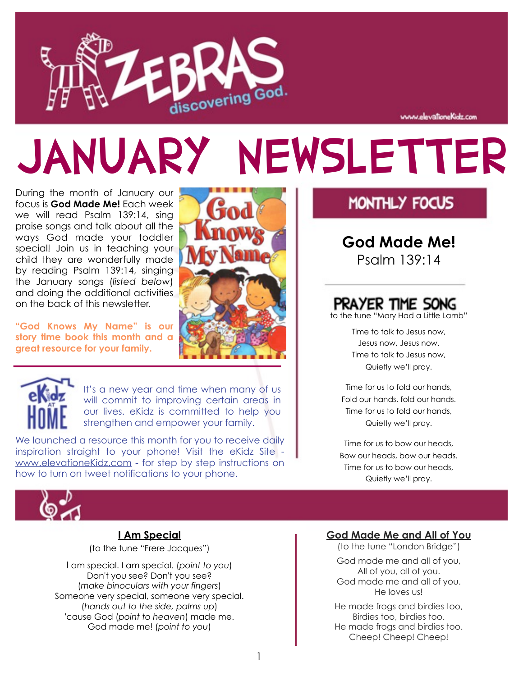

# JANUARY NEWSLETTER

During the month of January our focus is **God Made Me!** Each week we will read Psalm 139:14, sing praise songs and talk about all the ways God made your toddler special! Join us in teaching your child they are wonderfully made by reading Psalm 139:14, singing the January songs (*listed below*) and doing the additional activities on the back of this newsletter.

**"God Knows My Name" is our story time book this month and a great resource for your family.** 



www.elevationeKidz.com

**God Made Me!** Psalm 139:14

MONTHLY FOCUS

## PRAYER TIME SONG

to the tune "Mary Had a Little Lamb"

Time to talk to Jesus now, Jesus now, Jesus now. Time to talk to Jesus now, Quietly we'll pray.

Time for us to fold our hands, Fold our hands, fold our hands. Time for us to fold our hands, Quietly we'll pray.

Time for us to bow our heads, Bow our heads, bow our heads. Time for us to bow our heads, Quietly we'll pray.



It's a new year and time when many of us will commit to improving certain areas in our lives. eKidz is committed to help you strengthen and empower your family.

We launched a resource this month for you to receive daily inspiration straight to your phone! Visit the eKidz Site [www.elevationeKidz.com](http://www.elevationeKidz.com) - for step by step instructions on how to turn on tweet notifications to your phone.



**I Am Special** (to the tune "Frere Jacques")

I am special. I am special. (*point to you*) Don't you see? Don't you see? (*make binoculars with your fingers*) Someone very special, someone very special. (*hands out to the side, palms up*) 'cause God (*point to heaven*) made me. God made me! (*point to you*)

### **God Made Me and All of You**

(to the tune "London Bridge")

God made me and all of you, All of you, all of you. God made me and all of you. He loves us!

He made frogs and birdies too, Birdies too, birdies too. He made frogs and birdies too. Cheep! Cheep! Cheep!